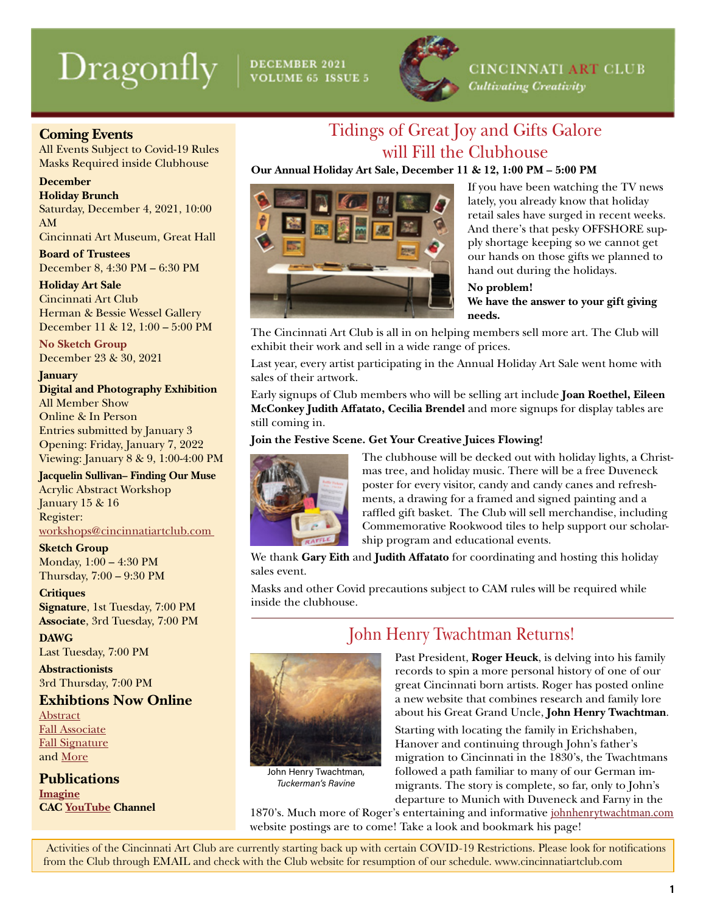# **Dragonfly**

DECEMBER 2021<br>VOLUME 65 ISSUE 5



Tidings of Great Joy and Gifts Galore will Fill the Clubhouse

**CINCINNATI ART CLUB** 

**Cultivating Creativity** 

### **Coming Events**

All Events Subject to Covid-19 Rules Masks Required inside Clubhouse

#### **December**

**Holiday Brunch**

Saturday, December 4, 2021, 10:00 AM

Cincinnati Art Museum, Great Hall

**Board of Trustees** December 8, 4:30 PM – 6:30 PM

**Holiday Art Sale** Cincinnati Art Club Herman & Bessie Wessel Gallery December 11 & 12, 1:00 – 5:00 PM

**No Sketch Group** December 23 & 30, 2021

**January**

**Digital and Photography Exhibition** All Member Show Online & In Person Entries submitted by January 3 Opening: Friday, January 7, 2022 Viewing: January 8 & 9, 1:00-4:00 PM

**Jacquelin Sullivan– Finding Our Muse** Acrylic Abstract Workshop January 15 & 16 Register: [workshops@cincinnatiartclub.com](mailto:workshops%40cincinnatiartclub.com%20?subject=) 

**Sketch Group** Monday, 1:00 – 4:30 PM Thursday, 7:00 – 9:30 PM

**Critiques Signature**, 1st Tuesday, 7:00 PM **Associate**, 3rd Tuesday, 7:00 PM

**DAWG** Last Tuesday, 7:00 PM

**Abstractionists** 3rd Thursday, 7:00 PM

### **Exhibtions Now Online** [Abstract](https://cincinnatiartclub.org/2021-abstract-exhibition/)

[Fall Associate](https://cincinnatiartclub.org/2021-fall-associate-exhibition/) [Fall Signature](https://cincinnatiartclub.org/signature-exhibition-fall-2021/) and [More](http://www.cincinnatiartclub.com/index.html)

**Publications [Imagine](https://cincinnatiartclub.org/community/imagine-magazine/) CAC [YouTube](https://www.youtube.com/channel/UCUfJGPsIhKnIrCSoALXW2LA) Channel**



If you have been watching the TV news lately, you already know that holiday retail sales have surged in recent weeks. And there's that pesky OFFSHORE supply shortage keeping so we cannot get our hands on those gifts we planned to hand out during the holidays.

### **No problem!**

**We have the answer to your gift giving needs.**

The Cincinnati Art Club is all in on helping members sell more art. The Club will exhibit their work and sell in a wide range of prices.

Last year, every artist participating in the Annual Holiday Art Sale went home with sales of their artwork.

Early signups of Club members who will be selling art include **Joan Roethel, Eileen McConkey Judith Affatato, Cecilia Brendel** and more signups for display tables are still coming in.

### **J**oin the Festive Scene. Get Your Creative Juices Flowing!



The clubhouse will be decked out with holiday lights, a Christmas tree, and holiday music. There will be a free Duveneck poster for every visitor, candy and candy canes and refreshments, a drawing for a framed and signed painting and a raffled gift basket. The Club will sell merchandise, including Commemorative Rookwood tiles to help support our scholarship program and educational events.

We thank **Gary Eith** and **Judith Affatato** for coordinating and hosting this holiday sales event.

Masks and other Covid precautions subject to CAM rules will be required while inside the clubhouse.



John Henry Twachtman, *Tuckerman's Ravine*

### John Henry Twachtman Returns!

Past President, **Roger Heuck**, is delving into his family records to spin a more personal history of one of our great Cincinnati born artists. Roger has posted online a new website that combines research and family lore about his Great Grand Uncle, **John Henry Twachtman**.

Starting with locating the family in Erichshaben, Hanover and continuing through John's father's migration to Cincinnati in the 1830's, the Twachtmans followed a path familiar to many of our German immigrants. The story is complete, so far, only to John's departure to Munich with Duveneck and Farny in the

1870's. Much more of Roger's entertaining and informative johnhenrytwachtman.com website postings are to come! Take a look and bookmark his page!

 Activities of the Cincinnati Art Club are currently starting back up with certain COVID-19 Restrictions. Please look for notifications from the Club through EMAIL and check with the Club website for resumption of our schedule. www.cincinnatiartclub.com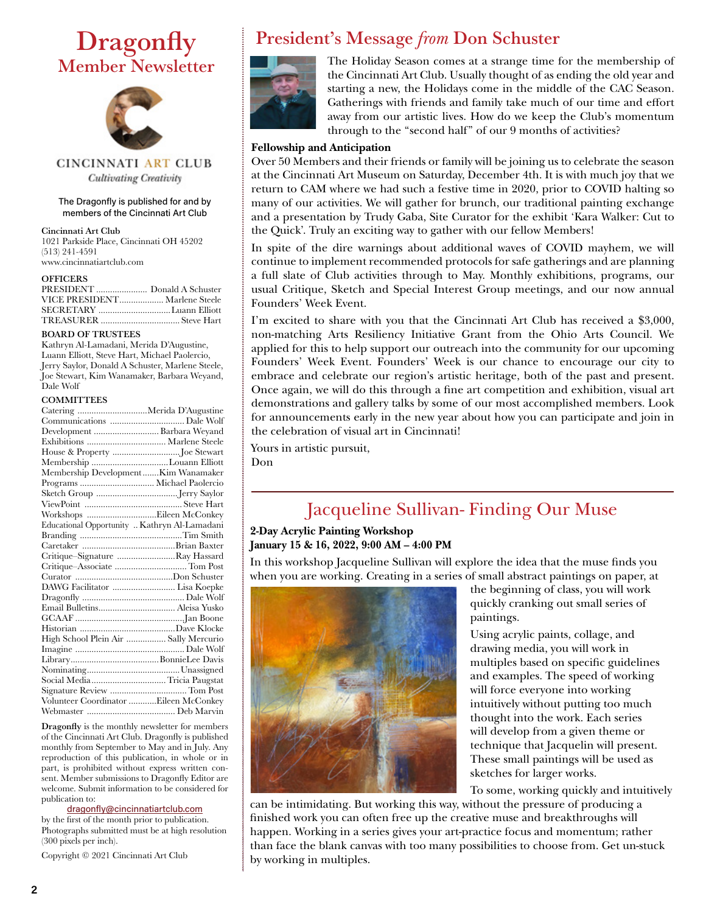# **Dragonfly** Member Newsletter



CINCINNATI ART CLUB **Cultivating Creativity** 

#### The Dragonfly is published for and by members of the Cincinnati Art Club

Cincinnati Art Club

1021 Parkside Place, Cincinnati OH 45202 (513) 241-4591 www.cincinnatiartclub.com

#### **OFFICERS**

| PRESIDENT  Donald A Schuster  |  |
|-------------------------------|--|
| VICE PRESIDENT Marlene Steele |  |
|                               |  |
|                               |  |

#### BOARD OF TRUSTEES

Kathryn Al-Lamadani, Merida D'Augustine, Luann Elliott, Steve Hart, Michael Paolercio, Jerry Saylor, Donald A Schuster, Marlene Steele, Joe Stewart, Kim Wanamaker, Barbara Weyand, Dale Wolf

#### **COMMITTEES**

| Catering Merida D'Augustine                  |  |
|----------------------------------------------|--|
|                                              |  |
| Development  Barbara Weyand                  |  |
|                                              |  |
|                                              |  |
| Membership Louann Elliott                    |  |
| Membership DevelopmentKim Wanamaker          |  |
|                                              |  |
|                                              |  |
|                                              |  |
| Workshops Eileen McConkey                    |  |
| Educational Opportunity  Kathryn Al-Lamadani |  |
|                                              |  |
|                                              |  |
| Critique-Signature Ray Hassard               |  |
| Critique-Associate  Tom Post                 |  |
|                                              |  |
| DAWG Facilitator  Lisa Koepke                |  |
|                                              |  |
|                                              |  |
|                                              |  |
|                                              |  |
| High School Plein Air  Sally Mercurio        |  |
|                                              |  |
|                                              |  |
|                                              |  |
| Social Media Tricia Paugstat                 |  |
|                                              |  |
| Volunteer Coordinator Eileen McConkey        |  |
|                                              |  |

Dragonfly is the monthly newsletter for members of the Cincinnati Art Club. Dragonfly is published monthly from September to May and in July. Any reproduction of this publication, in whole or in part, is prohibited without express written consent. Member submissions to Dragonfly Editor are welcome. Submit information to be considered for publication to:

#### [dragonfly@cincinnatiartclub.com](mailto:dragonfly%40cincinnatiartclub.com?subject=dragonfly%40cincinnatiartclub.com)

by the first of the month prior to publication. Photographs submitted must be at high resolution (300 pixels per inch).

Copyright © 2021 Cincinnati Art Club

## President's Message *from* Don Schuster



The Holiday Season comes at a strange time for the membership of the Cincinnati Art Club. Usually thought of as ending the old year and starting a new, the Holidays come in the middle of the CAC Season. Gatherings with friends and family take much of our time and effort away from our artistic lives. How do we keep the Club's momentum through to the "second half" of our 9 months of activities?

#### **Fellowship and Anticipation**

Over 50 Members and their friends or family will be joining us to celebrate the season at the Cincinnati Art Museum on Saturday, December 4th. It is with much joy that we return to CAM where we had such a festive time in 2020, prior to COVID halting so many of our activities. We will gather for brunch, our traditional painting exchange and a presentation by Trudy Gaba, Site Curator for the exhibit 'Kara Walker: Cut to the Quick'. Truly an exciting way to gather with our fellow Members!

In spite of the dire warnings about additional waves of COVID mayhem, we will continue to implement recommended protocols for safe gatherings and are planning a full slate of Club activities through to May. Monthly exhibitions, programs, our usual Critique, Sketch and Special Interest Group meetings, and our now annual Founders' Week Event.

I'm excited to share with you that the Cincinnati Art Club has received a \$3,000, non-matching Arts Resiliency Initiative Grant from the Ohio Arts Council. We applied for this to help support our outreach into the community for our upcoming Founders' Week Event. Founders' Week is our chance to encourage our city to embrace and celebrate our region's artistic heritage, both of the past and present. Once again, we will do this through a fine art competition and exhibition, visual art demonstrations and gallery talks by some of our most accomplished members. Look for announcements early in the new year about how you can participate and join in the celebration of visual art in Cincinnati!

Yours in artistic pursuit,

Don

# Jacqueline Sullivan- Finding Our Muse

### **2-Day Acrylic Painting Workshop January 15 & 16, 2022, 9:00 AM – 4:00 PM**

In this workshop Jacqueline Sullivan will explore the idea that the muse finds you when you are working. Creating in a series of small abstract paintings on paper, at



the beginning of class, you will work quickly cranking out small series of paintings.

Using acrylic paints, collage, and drawing media, you will work in multiples based on specific guidelines and examples. The speed of working will force everyone into working intuitively without putting too much thought into the work. Each series will develop from a given theme or technique that Jacquelin will present. These small paintings will be used as sketches for larger works.

To some, working quickly and intuitively

can be intimidating. But working this way, without the pressure of producing a finished work you can often free up the creative muse and breakthroughs will happen. Working in a series gives your art-practice focus and momentum; rather than face the blank canvas with too many possibilities to choose from. Get un-stuck by working in multiples.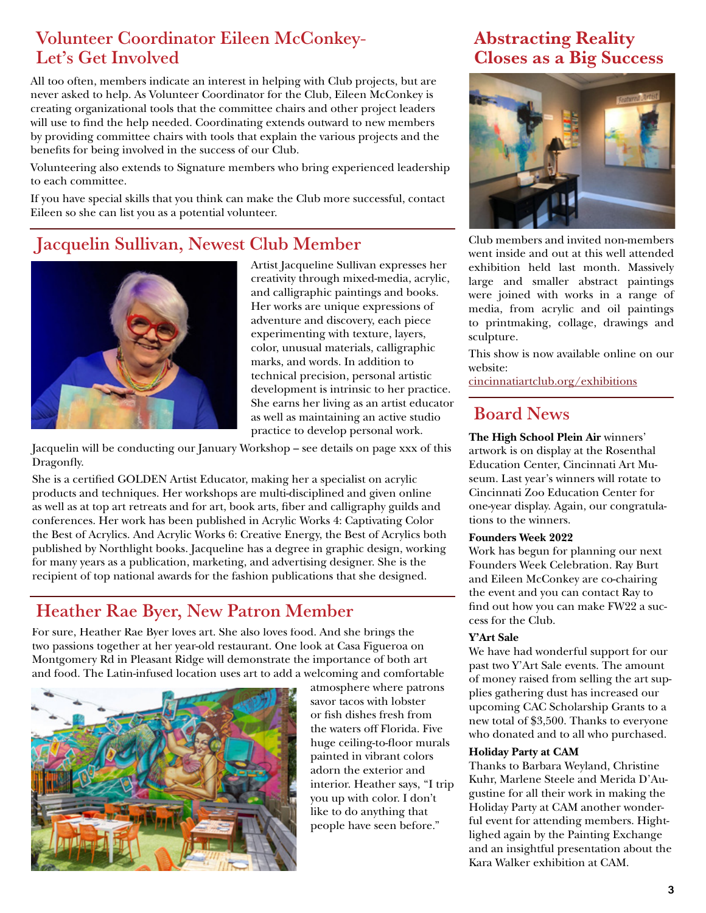### Volunteer Coordinator Eileen McConkey-Let's Get Involved

All too often, members indicate an interest in helping with Club projects, but are never asked to help. As Volunteer Coordinator for the Club, Eileen McConkey is creating organizational tools that the committee chairs and other project leaders will use to find the help needed. Coordinating extends outward to new members by providing committee chairs with tools that explain the various projects and the benefits for being involved in the success of our Club.

Volunteering also extends to Signature members who bring experienced leadership to each committee.

If you have special skills that you think can make the Club more successful, contact Eileen so she can list you as a potential volunteer.

## Jacquelin Sullivan, Newest Club Member



Artist Jacqueline Sullivan expresses her creativity through mixed-media, acrylic, and calligraphic paintings and books. Her works are unique expressions of adventure and discovery, each piece experimenting with texture, layers, color, unusual materials, calligraphic marks, and words. In addition to technical precision, personal artistic development is intrinsic to her practice. She earns her living as an artist educator as well as maintaining an active studio practice to develop personal work.

Jacquelin will be conducting our January Workshop – see details on page xxx of this Dragonfly.

She is a certified GOLDEN Artist Educator, making her a specialist on acrylic products and techniques. Her workshops are multi-disciplined and given online as well as at top art retreats and for art, book arts, fiber and calligraphy guilds and conferences. Her work has been published in Acrylic Works 4: Captivating Color the Best of Acrylics. And Acrylic Works 6: Creative Energy, the Best of Acrylics both published by Northlight books. Jacqueline has a degree in graphic design, working for many years as a publication, marketing, and advertising designer. She is the recipient of top national awards for the fashion publications that she designed.

### Heather Rae Byer, New Patron Member

For sure, Heather Rae Byer loves art. She also loves food. And she brings the two passions together at her year-old restaurant. One look at Casa Figueroa on Montgomery Rd in Pleasant Ridge will demonstrate the importance of both art and food. The Latin-infused location uses art to add a welcoming and comfortable



atmosphere where patrons savor tacos with lobster or fish dishes fresh from the waters off Florida. Five huge ceiling-to-floor murals painted in vibrant colors adorn the exterior and interior. Heather says, "I trip you up with color. I don't like to do anything that people have seen before."

### Abstracting Reality Closes as a Big Success



Club members and invited non-members went inside and out at this well attended exhibition held last month. Massively large and smaller abstract paintings were joined with works in a range of media, from acrylic and oil paintings to printmaking, collage, drawings and sculpture.

This show is now available online on our website:

[cincinnatiartclub.org/exhibitions](https://cincinnatiartclub.org/exhibitions)

## Board News

**The High School Plein Air** winners' artwork is on display at the Rosenthal Education Center, Cincinnati Art Museum. Last year's winners will rotate to Cincinnati Zoo Education Center for one-year display. Again, our congratulations to the winners.

#### **Founders Week 2022**

Work has begun for planning our next Founders Week Celebration. Ray Burt and Eileen McConkey are co-chairing the event and you can contact Ray to find out how you can make FW22 a success for the Club.

#### **Y'Art Sale**

We have had wonderful support for our past two Y'Art Sale events. The amount of money raised from selling the art supplies gathering dust has increased our upcoming CAC Scholarship Grants to a new total of \$3,500. Thanks to everyone who donated and to all who purchased.

#### **Holiday Party at CAM**

Thanks to Barbara Weyland, Christine Kuhr, Marlene Steele and Merida D'Augustine for all their work in making the Holiday Party at CAM another wonderful event for attending members. Hightlighed again by the Painting Exchange and an insightful presentation about the Kara Walker exhibition at CAM.